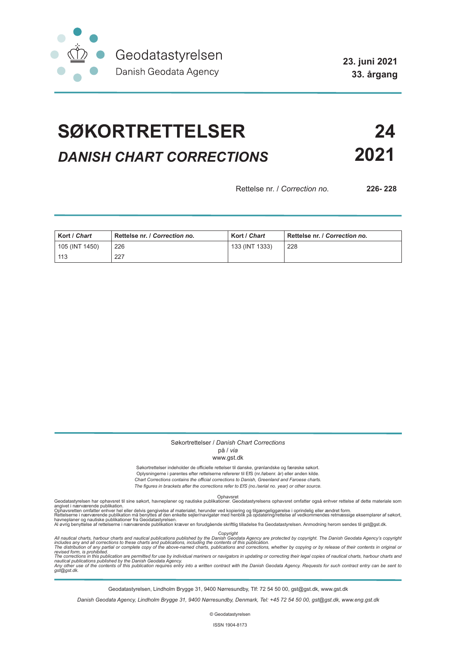

**23. juni 2021 33. årgang**

# **SØKORTRETTELSER 24** *DANISH CHART CORRECTIONS* **2021**

Rettelse nr. / *Correction no.* **226- 228**

| Kort / Chart   | Rettelse nr. / Correction no. | Kort / Chart   | Rettelse nr. / Correction no. |
|----------------|-------------------------------|----------------|-------------------------------|
| 105 (INT 1450) | 226                           | 133 (INT 1333) | 228                           |
| 113            | 227                           |                |                               |

#### Søkortrettelser / *Danish Chart Corrections* på / *via*

### www.gst.dk

Søkortrettelser indeholder de officielle rettelser til danske, grønlandske og færøske søkort.

Oplysningerne i parentes efter rettelserne refererer til EfS (nr./løbenr. år) eller anden kilde. *Chart Corrections contains the official corrections to Danish, Greenland and Faroese charts. The figures in brackets after the corrections refer to EfS (no./serial no. year) or other source.*

Ophavsret Geodatastyrelsen har ophavsret til sine søkort, havneplaner og nautiske publikationer. Geodatastyrelsens ophavsret omfatter også enhver rettelse af dette materiale som

angivet i nærværende publikation.<br>Ophavsretten omfatter enhver hel eller delvis gengivelse af materialet, herunder ved kopiering og tilgængeliggørelse i oprindelig eller ændret form.<br>Rettelserne i nærværende publikation må

Copyright<br>includes any and all corrections to these charts and publications published by the Danish Agency are protected by copyright. The Danish Geodata Agency's copyright<br>includes any and all corrections to these charts

Geodatastyrelsen, Lindholm Brygge 31, 9400 Nørresundby, Tlf: 72 54 50 00, gst@gst.dk, www.gst.dk

*Danish Geodata Agency, Lindholm Brygge 31, 9400 Nørresundby, Denmark, Tel: +45 72 54 50 00, gst@gst.dk, www.eng.gst.dk*

© Geodatastyrelsen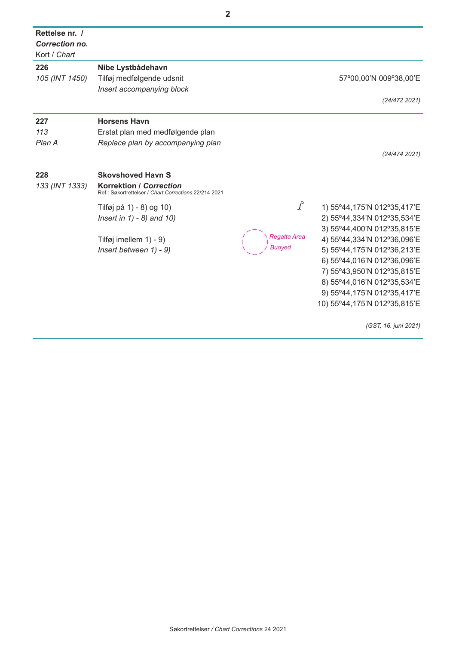| Rettelse nr. /<br><b>Correction no.</b><br>Kort / Chart |                                                                                                                     |                                  |                                                                                                                                                                                                                                                                                                                         |
|---------------------------------------------------------|---------------------------------------------------------------------------------------------------------------------|----------------------------------|-------------------------------------------------------------------------------------------------------------------------------------------------------------------------------------------------------------------------------------------------------------------------------------------------------------------------|
| 226<br>105 (INT 1450)                                   | Nibe Lystbådehavn<br>Tilføj medfølgende udsnit<br>Insert accompanying block                                         |                                  | 57°00,00'N 009°38,00'E<br>(24/472 2021)                                                                                                                                                                                                                                                                                 |
| 227<br>113<br>Plan A                                    | <b>Horsens Havn</b><br>Erstat plan med medfølgende plan<br>Replace plan by accompanying plan                        |                                  | (24/474 2021)                                                                                                                                                                                                                                                                                                           |
| 228<br>133 (INT 1333)                                   | <b>Skovshoved Havn S</b><br><b>Korrektion / Correction</b><br>Ref.: Søkortrettelser / Chart Corrections 22/214 2021 |                                  |                                                                                                                                                                                                                                                                                                                         |
|                                                         | Tilføj på 1) - 8) og 10)<br>Insert in $1) - 8$ ) and $10$ )<br>Tilføj imellem 1) - 9)<br>Insert between 1) - 9)     | $\int$<br>Reaatta Area<br>Buoved | 1) 55°44,175'N 012°35,417'E<br>2) 55°44,334'N 012°35,534'E<br>3) 55°44,400'N 012°35,815'E<br>4) 55°44,334'N 012°36,096'E<br>5) 55°44, 175'N 012°36, 213'E<br>6) 55°44,016'N 012°36,096'E<br>7) 55°43,950'N 012°35,815'E<br>8) 55°44,016'N 012°35,534'E<br>9) 55°44, 175'N 012°35, 417'E<br>10) 55°44,175'N 012°35,815'E |
|                                                         |                                                                                                                     |                                  | (GST, 16. juni 2021)                                                                                                                                                                                                                                                                                                    |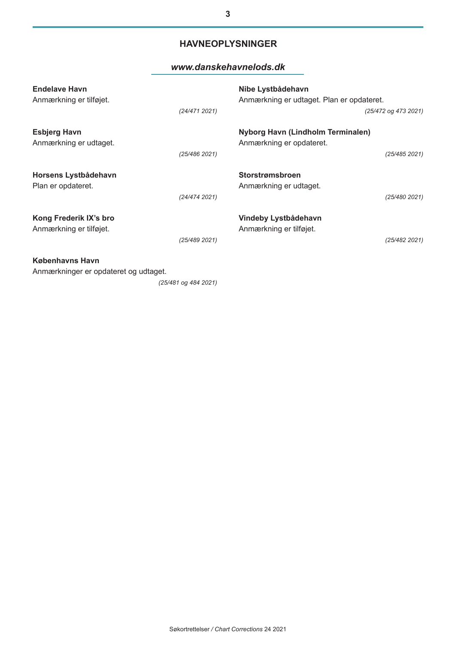## **HAVNEOPLYSNINGER**

## *www.danskehavnelods.dk*

| <b>Endelave Havn</b><br>Anmærkning er tilføjet.                 | (24/4712021)  | Nibe Lystbådehavn<br>Anmærkning er udtaget. Plan er opdateret.<br>(25/472 og 473 2021) |
|-----------------------------------------------------------------|---------------|----------------------------------------------------------------------------------------|
| <b>Esbjerg Havn</b><br>Anmærkning er udtaget.                   | (25/486 2021) | Nyborg Havn (Lindholm Terminalen)<br>Anmærkning er opdateret.<br>(25/485 2021)         |
| Horsens Lystbådehavn<br>Plan er opdateret.                      | (24/474 2021) | <b>Storstrømsbroen</b><br>Anmærkning er udtaget.<br>(25/480 2021)                      |
| Kong Frederik IX's bro<br>Anmærkning er tilføjet.               | (25/489 2021) | Vindeby Lystbådehavn<br>Anmærkning er tilføjet.<br>(25/482 2021)                       |
| <b>Københavns Havn</b><br>Anmærkninger er opdateret og udtaget. |               |                                                                                        |

*(25/481 og 484 2021)*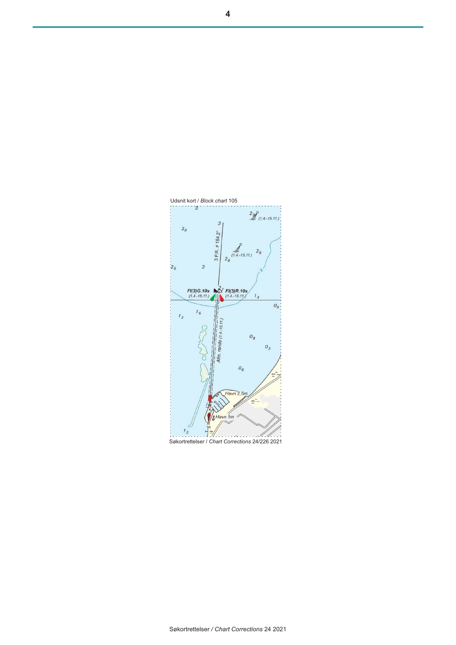

Søkortrettelser / *Chart Corrections* 24/226 2021